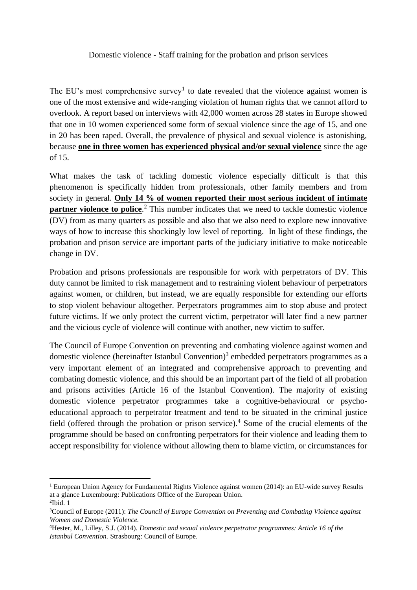## Domestic violence - Staff training for the probation and prison services

The EU's most comprehensive survey<sup>1</sup> to date revealed that the violence against women is one of the most extensive and wide-ranging violation of human rights that we cannot afford to overlook. A report based on interviews with 42,000 women across 28 states in Europe showed that one in 10 women experienced some form of sexual violence since the age of 15, and one in 20 has been raped. Overall, the prevalence of physical and sexual violence is astonishing, because **one in three women has experienced physical and/or sexual violence** since the age of 15.

What makes the task of tackling domestic violence especially difficult is that this phenomenon is specifically hidden from professionals, other family members and from society in general. **Only 14 % of women reported their most serious incident of intimate partner violence to police**.<sup>2</sup> This number indicates that we need to tackle domestic violence (DV) from as many quarters as possible and also that we also need to explore new innovative ways of how to increase this shockingly low level of reporting. In light of these findings, the probation and prison service are important parts of the judiciary initiative to make noticeable change in DV.

Probation and prisons professionals are responsible for work with perpetrators of DV. This duty cannot be limited to risk management and to restraining violent behaviour of perpetrators against women, or children, but instead, we are equally responsible for extending our efforts to stop violent behaviour altogether. Perpetrators programmes aim to stop abuse and protect future victims. If we only protect the current victim, perpetrator will later find a new partner and the vicious cycle of violence will continue with another, new victim to suffer.

The Council of Europe Convention on preventing and combating violence against women and domestic violence (hereinafter Istanbul Convention)<sup>3</sup> embedded perpetrators programmes as a very important element of an integrated and comprehensive approach to preventing and combating domestic violence, and this should be an important part of the field of all probation and prisons activities (Article 16 of the Istanbul Convention). The majority of existing domestic violence perpetrator programmes take a cognitive-behavioural or psychoeducational approach to perpetrator treatment and tend to be situated in the criminal justice field (offered through the probation or prison service).<sup>4</sup> Some of the crucial elements of the programme should be based on confronting perpetrators for their violence and leading them to accept responsibility for violence without allowing them to blame victim, or circumstances for

<sup>&</sup>lt;sup>1</sup> European Union Agency for Fundamental Rights Violence against women (2014): an EU-wide survey Results at a glance Luxembourg: Publications Office of the European Union.  $2$ Ibid. 1

<sup>3</sup>Council of Europe (2011): *The Council of Europe Convention on Preventing and Combating Violence against Women and Domestic Violence.*

<sup>4</sup>Hester, M., Lilley, S.J. (2014). *Domestic and sexual violence perpetrator programmes: Article 16 of the Istanbul Convention.* Strasbourg: Council of Europe.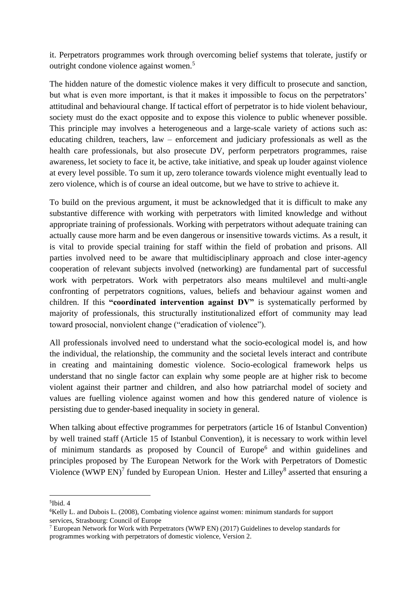it. Perpetrators programmes work through overcoming belief systems that tolerate, justify or outright condone violence against women.<sup>5</sup>

The hidden nature of the domestic violence makes it very difficult to prosecute and sanction, but what is even more important, is that it makes it impossible to focus on the perpetrators' attitudinal and behavioural change. If tactical effort of perpetrator is to hide violent behaviour, society must do the exact opposite and to expose this violence to public whenever possible. This principle may involves a heterogeneous and a large-scale variety of actions such as: educating children, teachers, law – enforcement and judiciary professionals as well as the health care professionals, but also prosecute DV, perform perpetrators programmes, raise awareness, let society to face it, be active, take initiative, and speak up louder against violence at every level possible. To sum it up, zero tolerance towards violence might eventually lead to zero violence, which is of course an ideal outcome, but we have to strive to achieve it.

To build on the previous argument, it must be acknowledged that it is difficult to make any substantive difference with working with perpetrators with limited knowledge and without appropriate training of professionals. Working with perpetrators without adequate training can actually cause more harm and be even dangerous or insensitive towards victims. As a result, it is vital to provide special training for staff within the field of probation and prisons. All parties involved need to be aware that multidisciplinary approach and close inter-agency cooperation of relevant subjects involved (networking) are fundamental part of successful work with perpetrators. Work with perpetrators also means multilevel and multi-angle confronting of perpetrators cognitions, values, beliefs and behaviour against women and children. If this **"coordinated intervention against DV"** is systematically performed by majority of professionals, this structurally institutionalized effort of community may lead toward prosocial, nonviolent change ("eradication of violence").

All professionals involved need to understand what the socio-ecological model is, and how the individual, the relationship, the community and the societal levels interact and contribute in creating and maintaining domestic violence. Socio-ecological framework helps us understand that no single factor can explain why some people are at higher risk to become violent against their partner and children, and also how patriarchal model of society and values are fuelling violence against women and how this gendered nature of violence is persisting due to gender-based inequality in society in general.

When talking about effective programmes for perpetrators (article 16 of Istanbul Convention) by well trained staff (Article 15 of Istanbul Convention), it is necessary to work within level of minimum standards as proposed by Council of Europe<sup>6</sup> and within guidelines and principles proposed by The European Network for the Work with Perpetrators of Domestic Violence (WWP EN)<sup>7</sup> funded by European Union. Hester and Lilley<sup>8</sup> asserted that ensuring a

<sup>5</sup> Ibid. 4

<sup>6</sup>Kelly L. and Dubois L. (2008), Combating violence against women: minimum standards for support services, Strasbourg: Council of Europe

<sup>7</sup> European Network for Work with Perpetrators (WWP EN) (2017) Guidelines to develop standards for programmes working with perpetrators of domestic violence, Version 2.